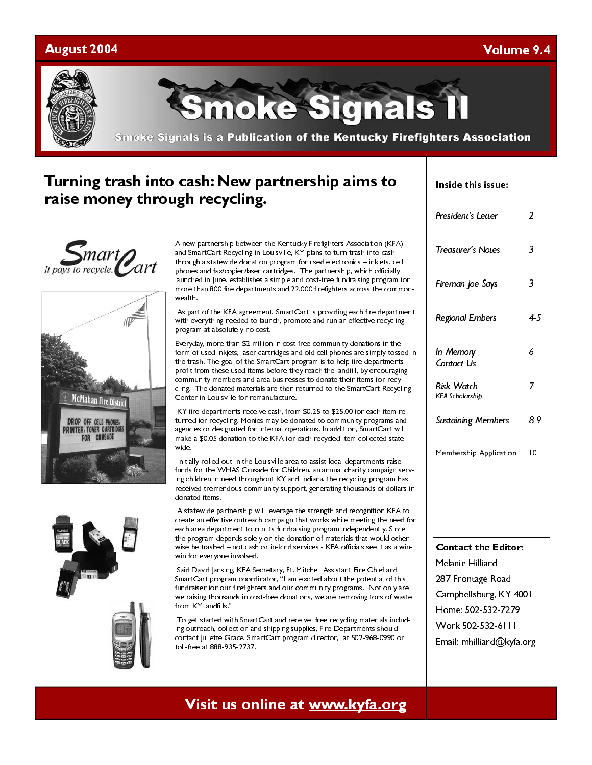### August 2004

### Volume 9.4



moke Signals

**Smoke Signals is a Publication of the Kentucky Firefighters Association** 

### Turning trash into cash: New partnership aims to raise money through recycling.









A new partnership between the Kentucky Firefighters Association (KFA) and SmartCart Recycling in Louisville, KY plans to turn trash into cash through a statewide donation program for used electronics – inkjets, cell phones and fax/copier/laser cartridges. The partnership, which officially launched in June, establishes a simple and cost-free fundraising program for more than 800 fire departments and 22,000 firefighters across the commonwealth.

 As part of the KFA agreement, SmartCart is providing each fire department with everything needed to launch, promote and run an effective recycling program at absolutely no cost.

Everyday, more than \$2 million in cost-free community donations in the form of used inkjets, laser cartridges and old cell phones are simply tossed in the trash. The goal of the SmartCart program is to help fire departments profit from these used items before they reach the landfill, by encouraging community members and area businesses to donate their items for recycling. The donated materials are then returned to the SmartCart Recycling Center in Louisville for remanufacture.

 KY fire departments receive cash, from \$0.25 to \$25.00 for each item returned for recycling. Monies may be donated to community programs and agencies or designated for internal operations. In addition, SmartCart will make a \$0.05 donation to the KFA for each recycled item collected statewide.

 Initially rolled out in the Louisville area to assist local departments raise funds for the WHAS Crusade for Children, an annual charity campaign serving children in need throughout KY and Indiana, the recycling program has received tremendous community support, generating thousands of dollars in donated items.

 A statewide partnership will leverage the strength and recognition KFA to create an effective outreach campaign that works while meeting the need for each area department to run its fundraising program independently. Since the program depends solely on the donation of materials that would otherwise be trashed – not cash or in-kind services - KFA officials see it as a winwin for everyone involved.

 Said David Jansing, KFA Secretary, Ft. Mitchell Assistant Fire Chief and SmartCart program coordinator, "I am excited about the potential of this fundraiser for our firefighters and our community programs. Not only are we raising thousands in cost-free donations, we are removing tons of waste from KY landfills."

 To get started with SmartCart and receive free recycling materials including outreach, collection and shipping supplies, Fire Departments should contact Juliette Grace, SmartCart program director, at 502-968-0990 or toll-free at 888-935-2737.

| Inside this issue: |  |
|--------------------|--|
|                    |  |

| President's Letter                          | 2              |  |
|---------------------------------------------|----------------|--|
| <b>Treasurer's Notes</b>                    | 3              |  |
| Fireman Joe Says                            | 3              |  |
| <b>Regional Embers</b>                      | 4.5            |  |
| In Memory<br>Contact Us                     | 6              |  |
| <b>Risk Watch</b><br><b>KFA Scholarship</b> | 7              |  |
| <b>Sustaining Members</b>                   | 89             |  |
| Membership Application                      | $\overline{0}$ |  |
|                                             |                |  |
| <b>Contact the Editor:</b>                  |                |  |
| Melanie Hilliard                            |                |  |
| 287 Frontage Road                           |                |  |
| Campbellsburg, KY 40011                     |                |  |
| Home: 502-532-7279<br>Work 502-532-6111     |                |  |
|                                             |                |  |
| Email: mhilliard@kyfa.org                   |                |  |

# Visit us online at www.kyfa.org visit us online at www.kyfa.org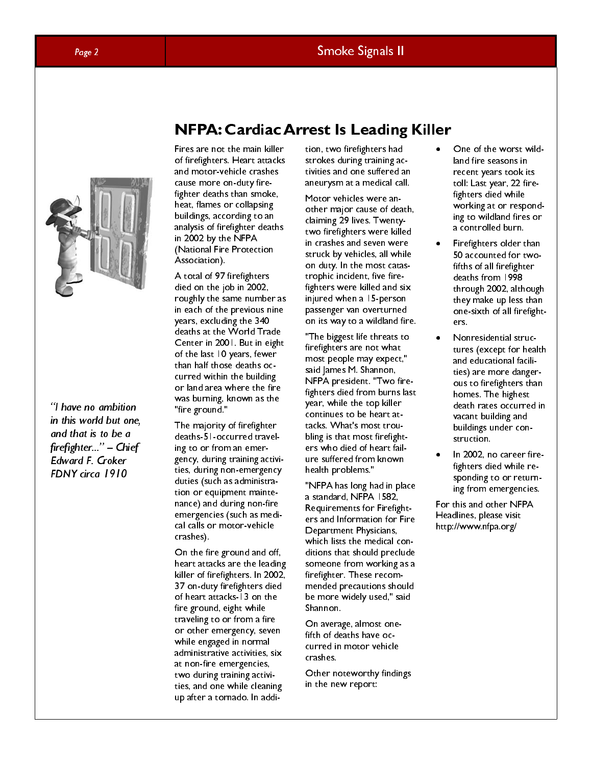"I have no ambition in this world but one, and that is to be a firefighter..." - Chief Edward F. Croker FDNY circa 1910

### NFPA: Cardiac Arrest Is Leading Killer

Fires are not the main killer of firefighters. Heart attacks and motor-vehicle crashes cause more on-duty firefighter deaths than smoke, heat, flames or collapsing buildings, according to an analysis of firefighter deaths in 2002 by the NFPA (National Fire Protection Association).

A total of 97 firefighters died on the job in 2002, roughly the same number as in each of the previous nine years, excluding the 340 deaths at the World Trade Center in 2001. But in eight of the last 10 years, fewer than half those deaths occurred within the building or land area where the fire was burning, known as the "fire ground."

The majority of firefighter deaths-51-occurred traveling to or from an emergency, during training activities, during non-emergency duties (such as administration or equipment maintenance) and during non-fire emergencies (such as medical calls or motor-vehicle crashes).

On the fire ground and off, heart attacks are the leading killer of firefighters. In 2002, 37 on-duty firefighters died of heart attacks-13 on the fire ground, eight while traveling to or from a fire or other emergency, seven while engaged in normal administrative activities, six at non-fire emergencies, two during training activities, and one while cleaning up after a tornado. In addi-

tion, two firefighters had strokes during training activities and one suffered an aneurysm at a medical call.

Motor vehicles were another major cause of death, claiming 29 lives. Twentytwo firefighters were killed in crashes and seven were struck by vehicles, all while on duty. In the most catastrophic incident, five firefighters were killed and six injured when a 15-person passenger van overturned on its way to a wildland fire.

"The biggest life threats to firefighters are not what most people may expect," said James M. Shannon, NFPA president. "Two firefighters died from burns last year, while the top killer continues to be heart attacks. What's most troubling is that most firefighters who died of heart failure suffered from known health problems."

"NFPA has long had in place a standard, NFPA 1582, Requirements for Firefighters and Information for Fire Department Physicians, which lists the medical conditions that should preclude someone from working as a firefighter. These recommended precautions should be more widely used," said Shannon.

On average, almost onefifth of deaths have occurred in motor vehicle crashes.

Other noteworthy findings in the new report:

- One of the worst wildland fire seasons in recent years took its toll: Last year, 22 firefighters died while working at or responding to wildland fires or a controlled burn.
- Firefighters older than 50 accounted for twofifths of all firefighter deaths from 1998 through 2002, although they make up less than one-sixth of all firefighters.
- Nonresidential structures (except for health and educational facilities) are more dangerous to firefighters than homes. The highest death rates occurred in vacant building and buildings under construction.
- In 2002, no career firefighters died while responding to or returning from emergencies.

For this and other NFPA Headlines, please visit http://www.nfpa.org/

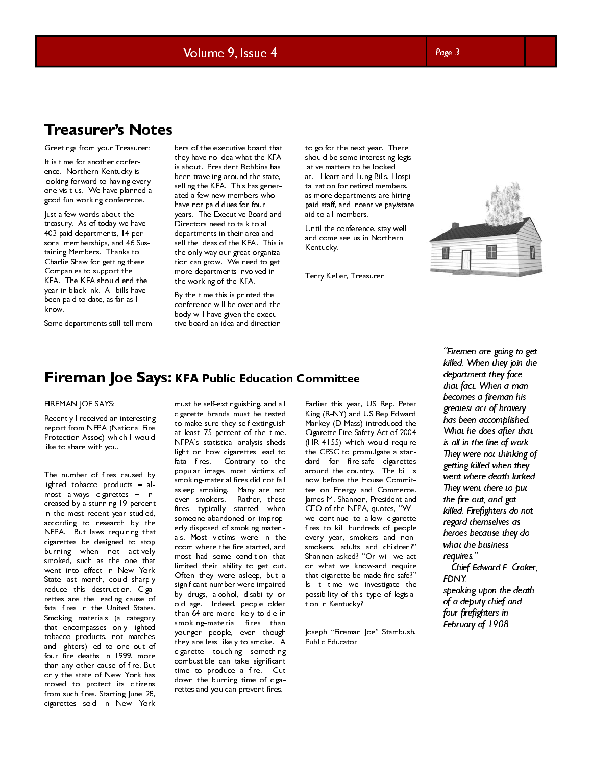Volume 9, Issue 4

### Page 3

IT CASUI CI'S INOLCS<br>Greetings from your Treasurer:

It is time for another conference. Northern Kentucky is looking forward to having everyone visit us. We have planned a good fun working conference.

Just a few words about the treasury. As of today we have 403 paid departments, 14 personal memberships, and 46 Sustaining Members. Thanks to Charlie Shaw for getting these Companies to support the KFA. The KFA should end the year in black ink. All bills have been paid to date, as far as I know.

Some departments still tell mem-

bers of the executive board that they have no idea what the KFA is about. President Robbins has been traveling around the state, selling the KFA. This has generated a few new members who have not paid dues for four years. The Executive Board and Directors need to talk to all departments in their area and sell the ideas of the KFA. This is the only way our great organization can grow. We need to get more departments involved in the working of the KFA.

By the time this is printed the conference will be over and the body will have given the executive board an idea and direction

to go for the next year. There should be some interesting legislative matters to be looked at. Heart and Lung Bills, Hospitalization for retired members, as more departments are hiring paid staff, and incentive pay/state aid to all members.

Until the conference, stay well and come see us in Northern Kentucky.

Terry Keller, Treasurer



### FIREMAN JOE SAYS:

Recently I received an interesting report from NFPA (National Fire Protection Assoc) which I would like to share with you.

The number of fires caused by lighted tobacco products – almost always cigarettes – increased by a stunning 19 percent in the most recent year studied, according to research by the NFPA. But laws requiring that cigarettes be designed to stop burning when not actively smoked, such as the one that went into effect in New York State last month, could sharply reduce this destruction. Cigarettes are the leading cause of fatal fires in the United States. Smoking materials (a category that encompasses only lighted tobacco products, not matches and lighters) led to one out of four fire deaths in 1999, more than any other cause of fire. But only the state of New York has moved to protect its citizens from such fires. Starting June 28, cigarettes sold in New York

FIREMAN JOE SAYS: WERE THOUSE EXAMPLE EVALUATION COMMITTED FREE THIS PATE THE CHINE THE CHINE SPACE COMMITTEE COMMITTEE COMMITTEE COMMITTEE THE COMMITTEE COMMITTEE THIS PART COMMITTEE INTERNATION IN THE ATTENT COMMITTEE TH must be self-extinguishing, and all cigarette brands must be tested to make sure they self-extinguish at least 75 percent of the time. NFPA's statistical analysis sheds light on how cigarettes lead to fatal fires. Contrary to the popular image, most victims of smoking-material fires did not fall asleep smoking. Many are not even smokers. Rather, these fires typically started when someone abandoned or improperly disposed of smoking materials. Most victims were in the room where the fire started, and most had some condition that limited their ability to get out. Often they were asleep, but a significant number were impaired by drugs, alcohol, disability or old age. Indeed, people older than 64 are more likely to die in smoking-material fires than younger people, even though they are less likely to smoke. A cigarette touching something combustible can take significant time to produce a fire. Cut down the burning time of cigarettes and you can prevent fires.

Earlier this year, US Rep. Peter King (R-NY) and US Rep Edward Markey (D-Mass) introduced the Cigarette Fire Safety Act of 2004 (HR 4155) which would require the CPSC to promulgate a standard for fire-safe cigarettes around the country. The bill is now before the House Committee on Energy and Commerce. James M. Shannon, President and CEO of the NFPA, quotes, "Will we continue to allow cigarette fires to kill hundreds of people every year, smokers and nonsmokers, adults and children?" Shannon asked? "Or will we act on what we know-and require that cigarette be made fire-safe?" Is it time we investigate the possibility of this type of legislation in Kentucky?

Joseph "Fireman Joe" Stambush, Public Educator

"Firemen are going to get killed. When they join the department they face that fact. When a man becomes a fireman his greatest act of bravery has been accomplished. What he does after that is all in the line of work. They were not thinking of getting killed when they went where death lurked. They went there to put the fire out, and got killed. Firefighters do not regard themselves as heroes because they do what the business requires." - Chief Edward F. Croker, FDNY, speaking upon the death

of a deputy chief and four firefighters in February of 1908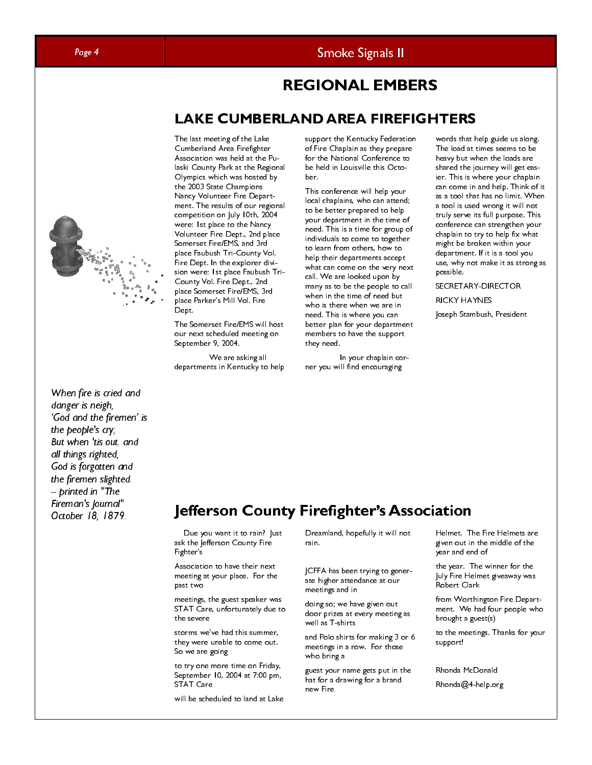

The sat meeting of the Lake<br>
cumberlands for the first Cumberlands of the Cashin state of the Cashin state of the Cashin state of the Cashin<br>
Association when the Cashin state of the Cashin state of the Cashin<br>
dependent The last meeting of the Lake Cumberland Area Firefighter Association was held at the Pulaski County Park at the Regional Olympics which was hosted by the 2003 State Champions Nancy Volunteer Fire Department. The results of our regional competition on July 10th, 2004 were: 1st place to the Nancy Volunteer Fire Dept., 2nd place Somerset Fire/EMS, and 3rd place Faubush Tri-County Vol. Fire Dept. In the explorer division were: 1st place Faubush Tri-County Vol. Fire Dept., 2nd place Somerset Fire/EMS, 3rd place Parker's Mill Vol. Fire Dept.

The Somerset Fire/EMS will host our next scheduled meeting on September 9, 2004.

 We are asking all departments in Kentucky to help support the Kentucky Federation of Fire Chaplain as they prepare for the National Conference to be held in Louisville this October.

LAND AREA FIREFIGHT<br>
support the Kentucky Federation<br>
of Fire Chip in as they prepare<br>
for the National Conference to<br>
the held in Louisville this Octo-<br>
berald in a they prepare to<br>
the held in Louisville this Octo-<br>
loc This conference will help your local chaplains, who can attend; to be better prepared to help your department in the time of need. This is a time for group of individuals to come to together to learn from others, how to help their departments accept what can come on the very next call. We are looked upon by many as to be the people to call when in the time of need but who is there when we are in need. This is where you can better plan for your department members to have the support they need.

 In your chaplain corner you will find encouraging

words that help guide us along. The load at times seems to be heavy but when the loads are shared the journey will get easier. This is where your chaplain can come in and help. Think of it as a tool that has no limit. When a tool is used wrong it will not truly serve its full purpose. This conference can strengthen your chaplain to try to help fix what might be broken within your department. If it is a tool you use, why not make it as strong as possible.

SECRETARY-DIRECTOR RICKY HAYNES

Joseph Stambush, President

# $\sigma_{\text{ctober 18, 1879}}$  Jefferson County Firefighter's Association

 Due you want it to rain? Just ask the Jefferson County Fire Fighter's

Association to have their next meeting at your place. For the past two

meetings, the guest speaker was STAT Care, unfortunately due to the severe

storms we've had this summer, they were unable to come out. So we are going

to try one more time on Friday, September 10, 2004 at 7:00 pm, STAT Care

will be scheduled to land at Lake

Dreamland, hopefully it will not rain.

JCFFA has been trying to generate higher attendance at our meetings and in

doing so; we have given out door prizes at every meeting as well as T-shirts

and Polo shirts for making 3 or 6 meetings in a row. For those who bring a

guest your name gets put in the hat for a drawing for a brand new Fire

Helmet. The Fire Helmets are given out in the middle of the year and end of

the year. The winner for the July Fire Helmet giveaway was Robert Clark

from Worthington Fire Department. We had four people who brought a guest(s)

to the meetings. Thanks for your support!

Rhonda McDonald

Rhonda@4-help.org



When fire is cried and danger is neigh,

'God and the firemen' is

the people's cry; But when 'tis out. and all things righted, God is forgotten and the firemen slighted. -- printed in "The Fireman's Journal"

### Page 4 Smoke Signals II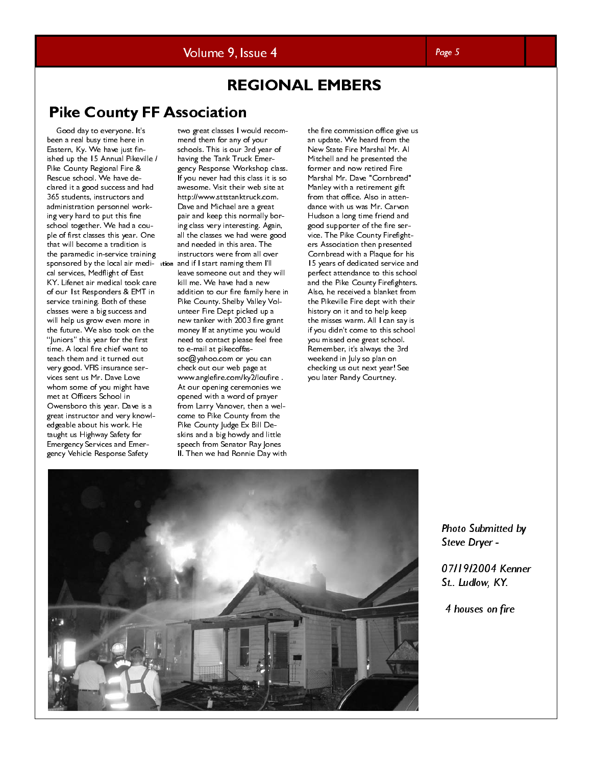### Volume 9, Issue 4

### REGIONAL EMBERS

### Pike County FF Association

sponsored by the local air medi- ation and if I start naming them I'll Good day to everyone. It's been a real busy time here in Eastern, Ky. We have just finished up the 15 Annual Pikeville / Pike County Regional Fire & Rescue school. We have declared it a good success and had 365 students, instructors and administration personnel working very hard to put this fine school together. We had a couple of first classes this year. One that will become a tradition is the paramedic in-service training cal services, Medflight of East KY. Lifenet air medical took care of our 1st Responders & EMT in service training. Both of these classes were a big success and will help us grow even more in the future. We also took on the "Juniors" this year for the first time. A local fire chief want to teach them and it turned out very good. VFIS insurance services sent us Mr. Dave Love whom some of you might have met at Officers School in Owensboro this year. Dave is a great instructor and very knowledgeable about his work. He taught us Highway Safety for Emergency Services and Emergency Vehicle Response Safety

two great classes I would recommend them for any of your schools. This is our 3rd year of having the Tank Truck Emergency Response Workshop class. If you never had this class it is so awesome. Visit their web site at http://www.sttstanktruck.com. Dave and Michael are a great pair and keep this normally boring class very interesting. Again, all the classes we had were good and needed in this area. The instructors were from all over leave someone out and they will kill me. We have had a new addition to our fire family here in Pike County. Shelby Valley Volunteer Fire Dept picked up a new tanker with 2003 fire grant money If at anytime you would need to contact please feel free to e-mail at pikecoffassoc@yahoo.com or you can check out our web page at www.anglefire.com/ky2/loufire . At our opening ceremonies we opened with a word of prayer from Larry Vanover, then a welcome to Pike County from the Pike County Judge Ex Bill Deskins and a big howdy and little speech from Senator Ray Jones II. Then we had Ronnie Day with

the fire commission office give us an update. We heard from the New State Fire Marshal Mr. Al Mitchell and he presented the former and now retired Fire Marshal Mr. Dave "Cornbread" Manley with a retirement gift from that office. Also in attendance with us was Mr. Carvon Hudson a long time friend and good supporter of the fire service. The Pike County Firefighters Association then presented Cornbread with a Plaque for his 15 years of dedicated service and perfect attendance to this school and the Pike County Firefighters. Also, he received a blanket from the Pikeville Fire dept with their history on it and to help keep the misses warm. All I can say is if you didn't come to this school you missed one great school. Remember, it's always the 3rd weekend in July so plan on checking us out next year! See you later Randy Courtney.



Photo Submitted by Steve Dryer -

 $\overline{a}$ 07/19/2004 Kenner St.. Ludlow, KY.

4 houses on fire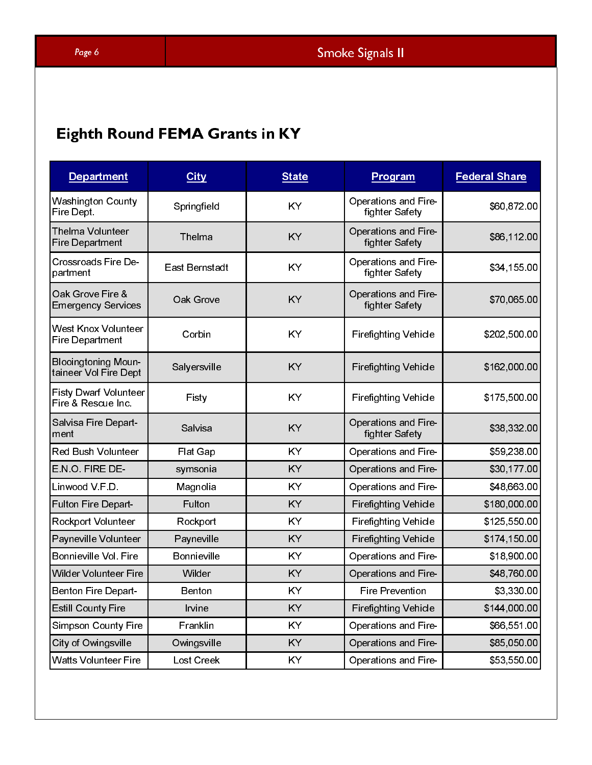# Eighth Round FEMA Grants in KY

| <b>Department</b>                                   | City                      | <b>State</b> | Program                                                    | <b>Federal Share</b>         |
|-----------------------------------------------------|---------------------------|--------------|------------------------------------------------------------|------------------------------|
| Washington County                                   |                           | KY           | Operations and Fire-                                       | \$60,872.00                  |
| Fire Dept.<br>Thelma Volunteer                      | Springfield               |              | fighter Safety<br>Operations and Fire-                     |                              |
| Fire Department                                     | Thelma                    | KY           | fighter Safety                                             | \$86,112.00                  |
| Crossroads Fire De-<br>partment                     | East Bernstadt            | KY           | Operations and Fire-<br>fighter Safety                     | \$34,155.00                  |
| Oak Grove Fire &<br><b>Emergency Services</b>       | Oak Grove                 | KY           | Operations and Fire-<br>fighter Safety                     | \$70,065.00                  |
| West Knox Volunteer                                 |                           |              |                                                            |                              |
| Fire Department                                     | Corbin                    | KY           | <b>Firefighting Vehicle</b>                                | \$202,500.00                 |
| <b>Blooingtoning Moun-</b><br>taineer Vol Fire Dept | Salyersville              | KY           | <b>Firefighting Vehicle</b>                                | \$162,000.00                 |
| Fisty Dwarf Volunteer<br>Fire & Rescue Inc.         | Fisty                     | KY           | <b>Firefighting Vehicle</b>                                | \$175,500.00                 |
| Salvisa Fire Depart-                                |                           |              | Operations and Fire-                                       |                              |
| ment<br>Red Bush Volunteer                          | Salvisa                   | KY<br>KY     | fighter Safety                                             | \$38,332.00                  |
| E.N.O. FIRE DE-                                     | Flat Gap<br>symsonia      | <b>KY</b>    | Operations and Fire-<br>Operations and Fire-               | \$59,238.00<br>\$30,177.00   |
| Linwood V F D                                       | Magnolia                  | <b>KY</b>    | Operations and Fire-                                       | \$48,663.00                  |
| Fulton Fire Depart-<br>Rockport Volunteer           | Fulton<br>Rockport        | KY<br>KY     | <b>Firefighting Vehicle</b><br><b>Firefighting Vehicle</b> | \$180,000.00<br>\$125,550.00 |
| Payneville Volunteer                                | Payneville                | <b>KY</b>    | <b>Firefighting Vehicle</b>                                | \$174,150.00                 |
| Bonnieville Vol. Fire                               | Bonnieville               | KY           | Operations and Fire-                                       | \$18,900.00                  |
| Wilder Volunteer Fire<br>Benton Fire Depart-        | Wilder<br>Benton          | KY<br>KY     | Operations and Fire-<br><b>Fire Prevention</b>             | \$48,760.00<br>\$3,330.00    |
| <b>Estill County Fire</b>                           | Irvine                    | <b>KY</b>    | Firefighting Vehicle                                       | \$144,000.00                 |
| Simpson County Fire                                 | Franklin                  | KY           | Operations and Fire-                                       | \$66,551.00                  |
| City of Owingsville<br>Watts Volunteer Fire         | Owingsville<br>Lost Creek | KY<br>KY     | Operations and Fire-<br>Operations and Fire-               | \$85,050.00<br>\$53,550.00   |
|                                                     |                           |              |                                                            |                              |
|                                                     |                           |              |                                                            |                              |
|                                                     |                           |              |                                                            |                              |
|                                                     |                           |              |                                                            |                              |
|                                                     |                           |              |                                                            |                              |
|                                                     |                           |              |                                                            |                              |
|                                                     |                           |              |                                                            |                              |
|                                                     |                           |              |                                                            |                              |
|                                                     |                           |              |                                                            |                              |
|                                                     |                           |              |                                                            |                              |
|                                                     |                           |              |                                                            |                              |
|                                                     |                           |              |                                                            |                              |
|                                                     |                           |              |                                                            |                              |
|                                                     |                           |              |                                                            |                              |
|                                                     |                           |              |                                                            |                              |
|                                                     |                           |              |                                                            |                              |
|                                                     |                           |              |                                                            |                              |
|                                                     |                           |              |                                                            |                              |
|                                                     |                           |              |                                                            |                              |
|                                                     |                           |              |                                                            |                              |
|                                                     |                           |              |                                                            |                              |
|                                                     |                           |              |                                                            |                              |
|                                                     |                           |              |                                                            |                              |
|                                                     |                           |              |                                                            |                              |
|                                                     |                           |              |                                                            |                              |
|                                                     |                           |              |                                                            |                              |
|                                                     |                           |              |                                                            |                              |
|                                                     |                           |              |                                                            |                              |
|                                                     |                           |              |                                                            |                              |
|                                                     |                           |              |                                                            |                              |
|                                                     |                           |              |                                                            |                              |
|                                                     |                           |              |                                                            |                              |
|                                                     |                           |              |                                                            |                              |
|                                                     |                           |              |                                                            |                              |
|                                                     |                           |              |                                                            |                              |
|                                                     |                           |              |                                                            |                              |
|                                                     |                           |              |                                                            |                              |
|                                                     |                           |              |                                                            |                              |
|                                                     |                           |              |                                                            |                              |
|                                                     |                           |              |                                                            |                              |
|                                                     |                           |              |                                                            |                              |
|                                                     |                           |              |                                                            |                              |
|                                                     |                           |              |                                                            |                              |
|                                                     |                           |              |                                                            |                              |
|                                                     |                           |              |                                                            |                              |
|                                                     |                           |              |                                                            |                              |
|                                                     |                           |              |                                                            |                              |
|                                                     |                           |              |                                                            |                              |
|                                                     |                           |              |                                                            |                              |
|                                                     |                           |              |                                                            |                              |
|                                                     |                           |              |                                                            |                              |
|                                                     |                           |              |                                                            |                              |
|                                                     |                           |              |                                                            |                              |
|                                                     |                           |              |                                                            |                              |
|                                                     |                           |              |                                                            |                              |
|                                                     |                           |              |                                                            |                              |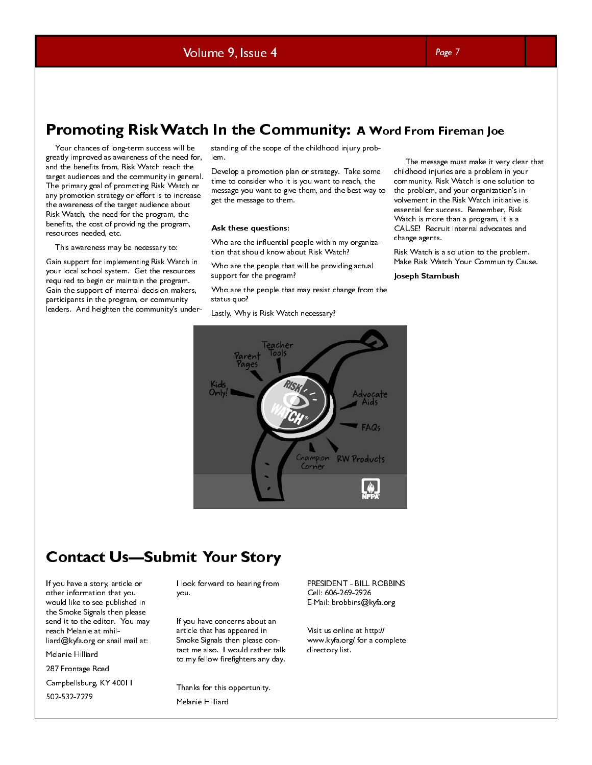### Promoting Risk Watch In the Community: A Word From Fireman Joe

 Your chances of long-term success will be greatly improved as awareness of the need for, and the benefits from, Risk Watch reach the target audiences and the community in general. The primary goal of promoting Risk Watch or any promotion strategy or effort is to increase the awareness of the target audience about Risk Watch, the need for the program, the benefits, the cost of providing the program, resources needed, etc.

This awareness may be necessary to:

Gain support for implementing Risk Watch in your local school system. Get the resources required to begin or maintain the program. Gain the support of internal decision makers, participants in the program, or community leaders. And heighten the community's understanding of the scope of the childhood injury problem.

Develop a promotion plan or strategy. Take some time to consider who it is you want to reach, the message you want to give them, and the best way to get the message to them.

### Ask these questions:

Who are the influential people within my organization that should know about Risk Watch?

Who are the people that will be providing actual support for the program?

Who are the people that may resist change from the status quo?

Lastly, Why is Risk Watch necessary?

 The message must make it very clear that childhood injuries are a problem in your community. Risk Watch is one solution to the problem, and your organization's involvement in the Risk Watch initiative is essential for success. Remember, Risk Watch is more than a program, it is a CAUSE! Recruit internal advocates and change agents. **d From Fire:**<br>The message must<br>childhood injuries are<br>community. Risk Way<br>the problem, and you<br>volvement in the Ris<br>sesential for success<br>Watch is more than<br>CAUSE! Recruit int<br>change agents.<br>Risk Watch is a solu<br>Make Risk

Risk Watch is a solution to the problem. Make Risk Watch Your Community Cause.

### Joseph Stambush



### Contact Us—Submit Your Story

If you have a story, article or other information that you would like to see published in the Smoke Signals then please send it to the editor. You may reach Melanie at mhilliard@kyfa.org or snail mail at:

Melanie Hilliard

287 Frontage Road

Campbellsburg, KY 40011

502-532-7279

I look forward to hearing from you.

If you have concerns about an article that has appeared in Smoke Signals then please contact me also. I would rather talk to my fellow firefighters any day.

Thanks for this opportunity. Melanie Hilliard

PRESIDENT - BILL ROBBINS Cell: 606-269-2926 E-Mail: brobbins@kyfa.org

Visit us online at http:// www.kyfa.org/ for a complete directory list.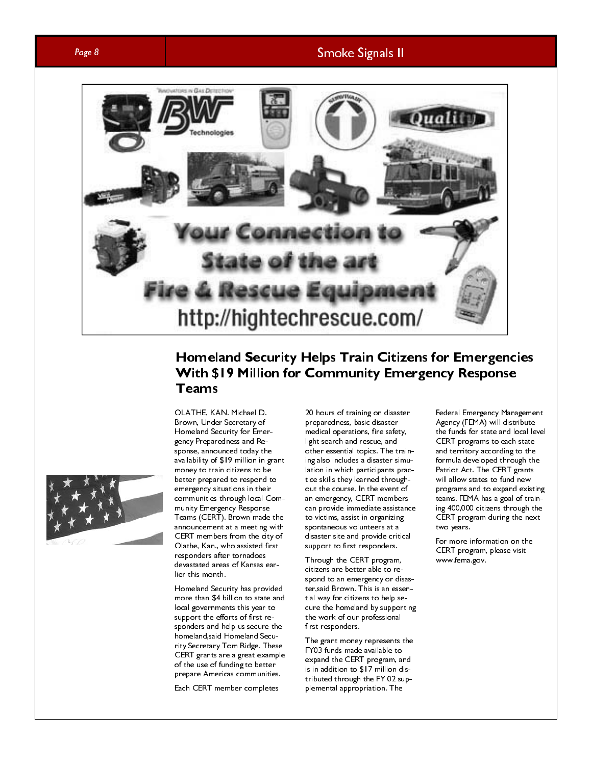### Page 8 Smoke Signals II



### Homeland Security Helps Train Citizens for Emergencies With \$19 Million for Community Emergency Response Teams



OLATHE, KAN. Michael D. Brown, Under Secretary of Homeland Security for Emergency Preparedness and Response, announced today the availability of \$19 million in grant money to train citizens to be better prepared to respond to emergency situations in their communities through local Community Emergency Response Teams (CERT). Brown made the announcement at a meeting with CERT members from the city of Olathe, Kan., who assisted first responders after tornadoes devastated areas of Kansas earlier this month.

Homeland Security has provided more than \$4 billion to state and local governments this year to support the efforts of first responders and help us secure the homeland,said Homeland Security Secretary Tom Ridge. These CERT grants are a great example of the use of funding to better prepare Americas communities.

Each CERT member completes

20 hours of training on disaster preparedness, basic disaster medical operations, fire safety, light search and rescue, and other essential topics. The training also includes a disaster simulation in which participants practice skills they learned throughout the course. In the event of an emergency, CERT members can provide immediate assistance to victims, assist in organizing spontaneous volunteers at a disaster site and provide critical support to first responders.

Through the CERT program, citizens are better able to respond to an emergency or disaster,said Brown. This is an essential way for citizens to help secure the homeland by supporting the work of our professional first responders.

The grant money represents the FY03 funds made available to expand the CERT program, and is in addition to \$17 million distributed through the FY 02 supplemental appropriation. The

Federal Emergency Management Agency (FEMA) will distribute the funds for state and local level CERT programs to each state and territory according to the formula developed through the Patriot Act. The CERT grants will allow states to fund new programs and to expand existing teams. FEMA has a goal of training 400,000 citizens through the CERT program during the next two years.

For more information on the CERT program, please visit www.fema.gov.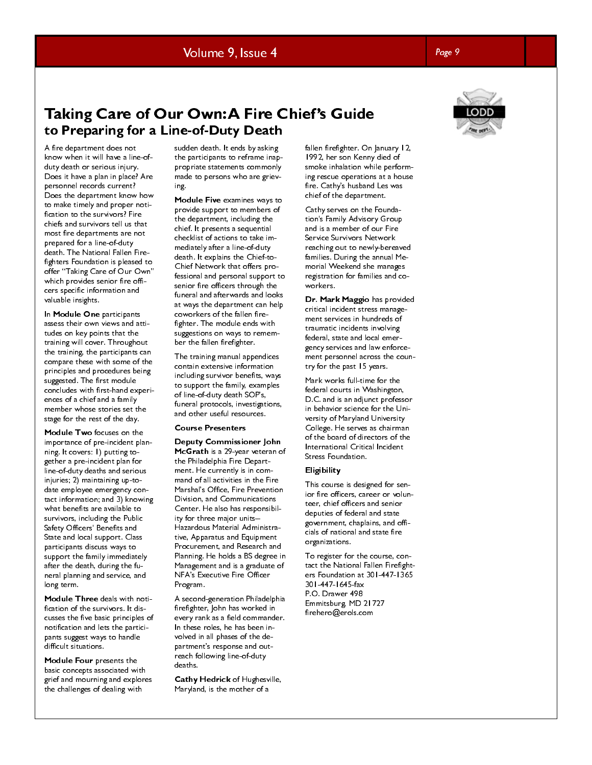# Volume 9, Issue 4 Page 9

### Taking Care of Our Own: A Fire Chief's Guide to Preparing for a Line-of-Duty Death

A fire department does not know when it will have a line-ofduty death or serious injury. Does it have a plan in place? Are personnel records current? Does the department know how to make timely and proper notification to the survivors? Fire chiefs and survivors tell us that most fire departments are not prepared for a line-of-duty death. The National Fallen Firefighters Foundation is pleased to offer "Taking Care of Our Own" which provides senior fire officers specific information and valuable insights.

In Module One participants assess their own views and attitudes on key points that the training will cover. Throughout the training, the participants can compare these with some of the principles and procedures being suggested. The first module concludes with first-hand experiences of a chief and a family member whose stories set the stage for the rest of the day.

Module Two focuses on the importance of pre-incident planning. It covers: 1) putting together a pre-incident plan for line-of-duty deaths and serious injuries; 2) maintaining up-todate employee emergency contact information; and 3) knowing what benefits are available to survivors, including the Public Safety Officers' Benefits and State and local support. Class participants discuss ways to support the family immediately after the death, during the funeral planning and service, and long term.

Module Three deals with notification of the survivors. It discusses the five basic principles of notification and lets the participants suggest ways to handle difficult situations.

Module Four presents the basic concepts associated with grief and mourning and explores the challenges of dealing with

sudden death. It ends by asking the participants to reframe inappropriate statements commonly made to persons who are grieving.

Module Five examines ways to provide support to members of the department, including the chief. It presents a sequential checklist of actions to take immediately after a line-of-duty death. It explains the Chief-to-Chief Network that offers professional and personal support to senior fire officers through the funeral and afterwards and looks at ways the department can help coworkers of the fallen firefighter. The module ends with suggestions on ways to remember the fallen firefighter.

The training manual appendices contain extensive information including survivor benefits, ways to support the family, examples of line-of-duty death SOP's, funeral protocols, investigations, and other useful resources.

### Course Presenters

Deputy Commissioner John McGrath is a 29-year veteran of the Philadelphia Fire Department. He currently is in command of all activities in the Fire Marshal's Office, Fire Prevention Division, and Communications Center. He also has responsibility for three major units-- Hazardous Material Administrative, Apparatus and Equipment Procurement, and Research and Planning. He holds a BS degree in Management and is a graduate of NFA's Executive Fire Officer Program.

A second-generation Philadelphia firefighter, John has worked in every rank as a field commander. In these roles, he has been involved in all phases of the department's response and outreach following line-of-duty deaths.

Cathy Hedrick of Hughesville, Maryland, is the mother of a

fallen firefighter. On January 12, 1992, her son Kenny died of smoke inhalation while performing rescue operations at a house fire. Cathy's husband Les was chief of the department.

Cathy serves on the Foundation's Family Advisory Group and is a member of our Fire Service Survivors Network reaching out to newly-bereaved families. During the annual Memorial Weekend she manages registration for families and coworkers.

Dr. Mark Maggio has provided critical incident stress management services in hundreds of traumatic incidents involving federal, state and local emergency services and law enforcement personnel across the country for the past 15 years.

Mark works full-time for the federal courts in Washington, D.C. and is an adjunct professor in behavior science for the University of Maryland University College. He serves as chairman of the board of directors of the International Critical Incident Stress Foundation.

### **Eligibility**

This course is designed for senior fire officers, career or volunteer, chief officers and senior deputies of federal and state government, chaplains, and officials of national and state fire organizations.

To register for the course, contact the National Fallen Firefighters Foundation at 301-447-1365 301-447-1645-fax P.O. Drawer 498 Emmitsburg, MD 21727 firehero@erols.com

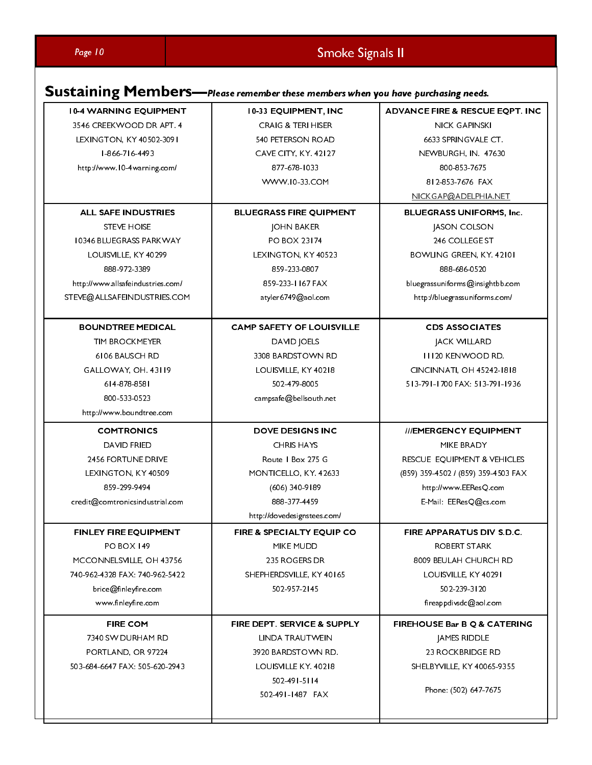# Page 10 Smoke Signals II

# Sustaining Members—Please remember these members when you have purchasing needs.

| <b>10-4 WARNING EQUIPMENT</b>     | 10-33 EQUIPMENT, INC                   | <b>ADVANCE FIRE &amp; RESCUE EQPT. INC</b> |
|-----------------------------------|----------------------------------------|--------------------------------------------|
| 3546 CREEKWOOD DR APT. 4          | <b>CRAIG &amp; TERI HISER</b>          | <b>NICK GAPINSKI</b>                       |
| LEXINGTON, KY 40502-3091          | <b>540 PETERSON ROAD</b>               | 6633 SPRINGVALE CT.                        |
| $ 866 - 7 6 - 4493$               | <b>CAVE CITY, KY. 42127</b>            | NEWBURGH, IN. 47630                        |
| http://www.10-4warning.com/       | 877-678-1033                           | 800 853 7675                               |
|                                   | WWW.10-33.COM                          | 812-853-7676 FAX                           |
|                                   |                                        | NICKGAP@ADELPHIA.NET                       |
| <b>ALL SAFE INDUSTRIES</b>        | <b>BLUEGRASS FIRE QUIPMENT</b>         | <b>BLUEGRASS UNIFORMS, Inc.</b>            |
| <b>STEVE HOISE</b>                | <b>JOHN BAKER</b>                      | JASON COLSON                               |
| 10346 BLUEGRASS PARKWAY           | PO BOX 23174                           | 246 COLLEGE ST                             |
| LOUISVILLE, KY 40299              | LEXINGTON, KY 40523                    | BOWLING GREEN, KY. 42101                   |
| 888 972 3389                      | 859-233-0807                           | 888 686 0520                               |
| http://www.allsafeindustries.com/ | 859-233-1167 FAX                       | bluegrassuniforms@insightbb.com            |
| STEVE@ALLSAFEINDUSTRIES.COM       | atyler6749@aol.com                     | http://bluegrassuniforms.com/              |
|                                   |                                        |                                            |
| <b>BOUNDTREE MEDICAL</b>          | <b>CAMP SAFETY OF LOUISVILLE</b>       | <b>CDS ASSOCIATES</b>                      |
| TIM BROCKMEYER                    | DAVID JOELS                            | <b>JACK WILLARD</b>                        |
| 6106 BAUSCH RD                    | 3308 BARDSTOWN RD                      | <b>III20 KENWOOD RD.</b>                   |
| GALLOWAY, OH. 43119               | LOUISVILLE, KY 40218                   | CINCINNATI, OH 45242-1818                  |
| 6   4   878   858                 | 502 479 8005                           | 5   3-79   -   700 FAX: 5   3-79   -   936 |
| 800-533-0523                      | campsafe@bellsouth.net                 |                                            |
| http://www.boundtree.com          |                                        |                                            |
| <b>COMTRONICS</b>                 | <b>DOVE DESIGNS INC</b>                | ///EMERGENCY EQUIPMENT                     |
| <b>DAVID FRIED</b>                | <b>CHRIS HAYS</b>                      | MIKE BRADY                                 |
| 2456 FORTUNE DRIVE                | Route   Box 275 G                      | RESCUE EQUIPMENT & VEHICLES                |
| LEXINGTON, KY 40509               | MONTICELLO, KY. 42633                  | (859) 359-4502 / (859) 359-4503 FAX        |
| 859 299 9494                      | (606) 340-9189                         | http://www.EEResQ.com                      |
| credit@comtronicsindustrial.com   | 888 377 4459                           | E-Mail: EEResQ@cs.com                      |
|                                   | http://dovedesignstees.com/            |                                            |
| FINLEY FIRE EQUIPMENT             | FIRE & SPECIALTY EQUIP CO              | FIRE APPARATUS DIV S.D.C.                  |
| <b>PO BOX 149</b>                 | MIKE MUDD                              | ROBERT STARK                               |
| MCCONNELSVILLE, OH 43756          | 235 ROGERS DR                          | 8009 BEULAH CHURCH RD                      |
| 740-962-4328 FAX: 740-962-5422    | SHEPHERDSVILLE, KY 40165               | LOUISVILLE, KY 40291                       |
| brice@finleyfire.com              | 502 957 2145                           | 502 239 3120                               |
| www.finleyfire.com                |                                        | fireappdivsdc@aol.com                      |
| <b>FIRE COM</b>                   | <b>FIRE DEPT. SERVICE &amp; SUPPLY</b> | FIREHOUSE Bar B Q & CATERING               |
| 7340 SW DURHAM RD                 | LINDA TRAUTWEIN                        | <b>JAMES RIDDLE</b>                        |
| PORTLAND, OR 97224                | 3920 BARDSTOWN RD.                     | <b>23 ROCKBRIDGE RD</b>                    |
| 503-684-6647 FAX: 505-620-2943    | LOUISVILLE KY. 40218                   | SHELBYVILLE, KY 40065-9355                 |
|                                   | 502 491 5114                           |                                            |
|                                   | 502-491-1487 FAX                       | Phone: (502) 647-7675                      |
|                                   |                                        |                                            |
|                                   |                                        |                                            |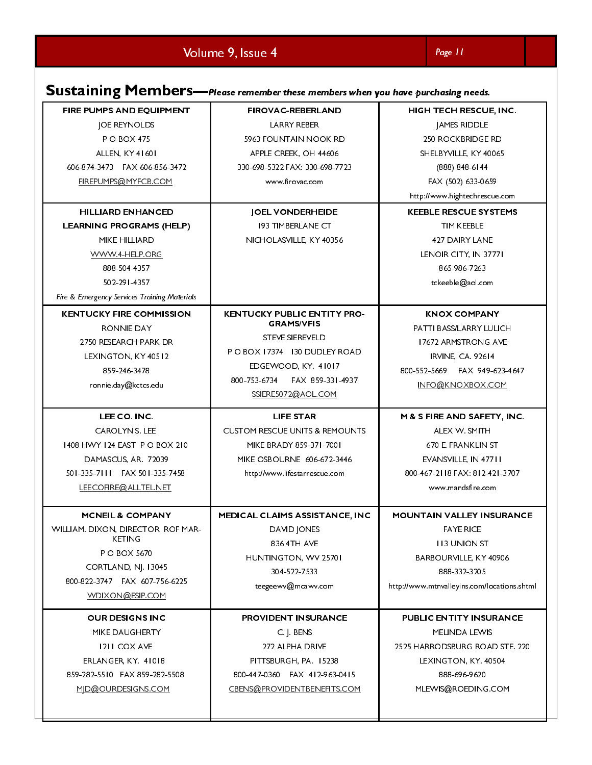Volume 9, Issue 4 Page 11

| FIRE PUMPS AND EQUIPMENT                                                                       | Sustaining Members-Please remember these members when you have purchasing needs.<br><b>FIROVAC-REBERLAND</b> | HIGH TECH RESCUE, INC.                                                                |
|------------------------------------------------------------------------------------------------|--------------------------------------------------------------------------------------------------------------|---------------------------------------------------------------------------------------|
| <b>JOE REYNOLDS</b><br><b>PO BOX 475</b><br>ALLEN, KY 41601                                    | LARRY REBER<br>5963 FOUNTAIN NOOK RD<br>APPLE CREEK, OH 44606                                                | JAMES RIDDLE<br>250 ROCKBRIDGE RD<br>SHELBYVILLE, KY 40065                            |
| 606-874-3473    FAX 606-856-3472<br>FIREPUMPS@MYFCB.COM                                        | 330-698-5322 FAX: 330-698-7723<br>www.firovac.com                                                            | $(888) 848-6144$<br>FAX (502) 633-0659<br>http://www.hightechrescue.com               |
| <b>HILLIARD ENHANCED</b><br><b>LEARNING PROGRAMS (HELP)</b><br>MIKE HILLIARD                   | <b>JOEL VONDERHEIDE</b><br><b>193 TIMBERLANE CT</b><br>NICHOLASVILLE, KY 40356                               | <b>KEEBLE RESCUE SYSTEMS</b><br>TIM KEEBLE<br>427 DAIRY LANE                          |
| WWW.4-HELP.ORG<br>888-504-4357<br>502-291-4357<br>Fire & Emergency Services Training Materials |                                                                                                              | LENOIR CITY, IN 37771<br>865-986-7263<br>tckeeble@aol.com                             |
| <b>KENTUCKY FIRE COMMISSION</b><br>RONNIE DAY<br>2750 RESEARCH PARK DR                         | KENTUCKY PUBLIC ENTITY PRO-<br><b>GRAMS/VFIS</b><br><b>STEVE SIEREVELD</b><br>PO BOX 17374 130 DUDLEY ROAD   | <b>KNOX COMPANY</b><br>PATTI BASS/LARRY LULICH<br>17672 ARMSTRONG AVE                 |
| LEXINGTON, KY 40512<br>859-246-3478<br>ronnie.day@kctcs.edu                                    | EDGEWOOD, KY. 41017<br>800-753-6734    FAX 859-331-4937<br>SSIERE5072@AOL.COM                                | IRVINE, CA. 92614<br>800-552-5669    FAX 949-623-4647<br>INFO@KNOXBOX.COM             |
| LEE CO. INC.<br>CAROLYN S. LEE<br>1408 HWY 124 EAST PO BOX 210                                 | LIFE STAR<br><b>CUSTOM RESCUE UNITS &amp; REMOUNTS</b><br>MIKE BRADY 859-371-7001                            | M & S FIRE AND SAFETY, INC.<br>ALEX W. SMITH<br>670 E. FRANKLIN ST                    |
| DAMASCUS, AR. 72039<br>501-335-7111 FAX 501-335-7458<br>LEECOFIRE@ALLTEL.NET                   | MIKE OSBOURNE 606-672-3446<br>http://www.lifestarrescue.com                                                  | EVANSVILLE, IN 47711<br>800-467-2118 FAX: 812-421-3707<br>www.mandsfire.com           |
| <b>MCNEIL &amp; COMPANY</b><br>WILLIAM. DIXON, DIRECTOR ROF MAR-<br>KETING                     | MEDICAL CLAIMS ASSISTANCE, INC<br>DAVID JONES<br>836 4TH AVE                                                 | <b>MOUNTAIN VALLEY INSURANCE</b><br><b>FAYE RICE</b><br><b>II3 UNION ST</b>           |
| P O BOX 5670<br>CORTLAND, NJ. 13045<br>800-822-3747    FAX 607-756-6225                        | HUNTINGTON, WV 25701<br>304-522-7533<br>teegeewv@mcawv.com                                                   | BARBOURVILLE, KY 40906<br>888-332-3205<br>http://www.mtnvalleyins.com/locations.shtml |
| WDIXON@ESIP.COM<br><b>OUR DESIGNS INC</b><br>MIKE DAUGHERTY                                    | PROVIDENT INSURANCE<br>C. J. BENS                                                                            | PUBLIC ENTITY INSURANCE<br>MELINDA LEWIS                                              |
| <b>1211 COX AVE</b><br>ERLANGER, KY. 41018<br>859-282-5510 FAX 859-282-5508                    | 272 ALPHA DRIVE<br>PITTSBURGH, PA. 15238<br>800-447-0360 FAX 412-963-0415                                    | 2525 HARRO DSBURG ROAD STE. 220<br>LEXINGTON, KY. 40504<br>888-696-9620               |
| MID@OURDESIGNS.COM                                                                             | CBENS@PROVIDENTBENEFITS.COM                                                                                  | MLEWIS@ROEDING.COM                                                                    |
|                                                                                                |                                                                                                              |                                                                                       |
|                                                                                                |                                                                                                              |                                                                                       |
|                                                                                                |                                                                                                              |                                                                                       |
|                                                                                                |                                                                                                              |                                                                                       |
|                                                                                                |                                                                                                              |                                                                                       |
|                                                                                                |                                                                                                              |                                                                                       |
|                                                                                                |                                                                                                              |                                                                                       |
|                                                                                                |                                                                                                              |                                                                                       |
|                                                                                                |                                                                                                              |                                                                                       |
|                                                                                                |                                                                                                              |                                                                                       |
|                                                                                                |                                                                                                              |                                                                                       |
|                                                                                                |                                                                                                              |                                                                                       |
|                                                                                                |                                                                                                              |                                                                                       |
|                                                                                                |                                                                                                              |                                                                                       |
|                                                                                                |                                                                                                              |                                                                                       |
|                                                                                                |                                                                                                              |                                                                                       |
|                                                                                                |                                                                                                              |                                                                                       |
|                                                                                                |                                                                                                              |                                                                                       |
|                                                                                                |                                                                                                              |                                                                                       |
|                                                                                                |                                                                                                              |                                                                                       |
|                                                                                                |                                                                                                              |                                                                                       |
|                                                                                                |                                                                                                              |                                                                                       |
|                                                                                                |                                                                                                              |                                                                                       |
|                                                                                                |                                                                                                              |                                                                                       |
|                                                                                                |                                                                                                              |                                                                                       |
|                                                                                                |                                                                                                              |                                                                                       |
|                                                                                                |                                                                                                              |                                                                                       |
|                                                                                                |                                                                                                              |                                                                                       |
|                                                                                                |                                                                                                              |                                                                                       |
|                                                                                                |                                                                                                              |                                                                                       |
|                                                                                                |                                                                                                              |                                                                                       |
|                                                                                                |                                                                                                              |                                                                                       |
|                                                                                                |                                                                                                              |                                                                                       |
|                                                                                                |                                                                                                              |                                                                                       |
|                                                                                                |                                                                                                              |                                                                                       |
|                                                                                                |                                                                                                              |                                                                                       |
|                                                                                                |                                                                                                              |                                                                                       |
|                                                                                                |                                                                                                              |                                                                                       |
|                                                                                                |                                                                                                              |                                                                                       |
|                                                                                                |                                                                                                              |                                                                                       |
|                                                                                                |                                                                                                              |                                                                                       |
|                                                                                                |                                                                                                              |                                                                                       |
|                                                                                                |                                                                                                              |                                                                                       |
|                                                                                                |                                                                                                              |                                                                                       |
|                                                                                                |                                                                                                              |                                                                                       |
|                                                                                                |                                                                                                              |                                                                                       |
|                                                                                                |                                                                                                              |                                                                                       |
|                                                                                                |                                                                                                              |                                                                                       |
|                                                                                                |                                                                                                              |                                                                                       |
|                                                                                                |                                                                                                              |                                                                                       |
|                                                                                                |                                                                                                              |                                                                                       |
|                                                                                                |                                                                                                              |                                                                                       |
|                                                                                                |                                                                                                              |                                                                                       |
|                                                                                                |                                                                                                              |                                                                                       |
|                                                                                                |                                                                                                              |                                                                                       |
|                                                                                                |                                                                                                              |                                                                                       |
|                                                                                                |                                                                                                              |                                                                                       |
|                                                                                                |                                                                                                              |                                                                                       |
|                                                                                                |                                                                                                              |                                                                                       |
|                                                                                                |                                                                                                              |                                                                                       |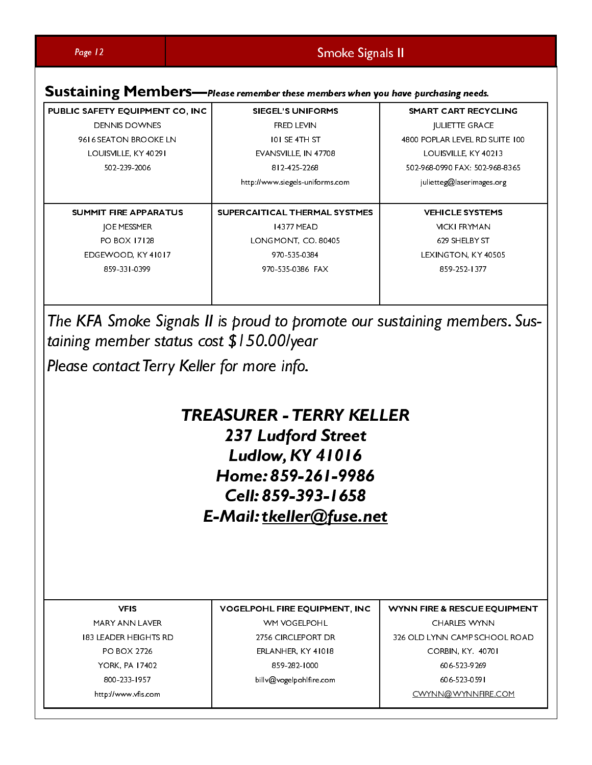| Page 12<br>PUBLIC SAFETY EQUIPMENT CO, INC<br><b>DENNIS DOWNES</b><br>9616 SEATON BROOKE LN<br>LOUISVILLE, KY 40291 | Smoke Signals II<br>Sustaining Members-Please remember these members when you have purchasing needs.<br><b>SIEGEL'S UNIFORMS</b><br>FRED LEVIN<br>101 SE 4TH ST<br>EVANSVILLE, IN 47708 | <b>SMART CART RECYCLING</b><br><b>JULIETTE GRACE</b><br>4800 POPLAR LEVEL RD SUITE 100<br>LOUISVILLE, KY 40213                                                       |
|---------------------------------------------------------------------------------------------------------------------|-----------------------------------------------------------------------------------------------------------------------------------------------------------------------------------------|----------------------------------------------------------------------------------------------------------------------------------------------------------------------|
| 502-239-2006<br>SUMMIT FIRE APPARATUS<br>JOE MESSMER<br>PO BOX 17128<br>EDGEWOOD, KY 41017<br>859-331-0399          | 812-425-2268<br>http://www.siegels-uniforms.com<br>SUPERCAITICAL THERMAL SYSTMES<br>14377 MEAD<br>LONGMONT, CO. 80405<br>970-535-0384<br>970-535-0386 FAX                               | 502-968-0990 FAX: 502-968-8365<br>julietteg@laserimages.org<br><b>VEHICLE SYSTEMS</b><br><b>VICKI FRYMAN</b><br>629 SHELBY ST<br>LEXINGTON, KY 40505<br>859-252-1377 |
| taining member status cost \$150.00/year<br>Please contact Terry Keller for more info.                              | The KFA Smoke Signals II is proud to promote our sustaining members. Sus-                                                                                                               |                                                                                                                                                                      |
|                                                                                                                     | <b>TREASURER - TERRY KELLER</b><br>237 Ludford Street<br><b>Ludlow, KY 41016</b><br>Home: 859-261-9986                                                                                  |                                                                                                                                                                      |
|                                                                                                                     | Cell: 859-393-1658<br>E-Mail: tkeller@fuse.net                                                                                                                                          |                                                                                                                                                                      |
| <b>VFIS</b><br>MARY ANN LAVER<br><b>183 LEADER HEIGHTS RD</b><br>PO BOX 2726<br>YORK, PA 17402<br>800-233-1957      | VOGELPOHL FIRE EQUIPMENT, INC<br>WM VOGELPOHL<br>2756 CIRCLEPORT DR<br>ERLANHER, KY 41018<br>859-282-1000<br>billv@vogelpohlfire.com                                                    | WYNN FIRE & RESCUE EQUIPMENT<br><b>CHARLES WYNN</b><br>326 OLD LYNN CAMP SCHOOL ROAD<br>CORBIN, KY. 40701<br>606-523-9269<br>606-523-0591                            |
| http://www.vfis.com                                                                                                 |                                                                                                                                                                                         | CWYNN@WYNNFIRE.COM                                                                                                                                                   |
|                                                                                                                     |                                                                                                                                                                                         |                                                                                                                                                                      |
|                                                                                                                     |                                                                                                                                                                                         |                                                                                                                                                                      |
|                                                                                                                     |                                                                                                                                                                                         |                                                                                                                                                                      |
|                                                                                                                     |                                                                                                                                                                                         |                                                                                                                                                                      |
|                                                                                                                     |                                                                                                                                                                                         |                                                                                                                                                                      |
|                                                                                                                     |                                                                                                                                                                                         |                                                                                                                                                                      |
|                                                                                                                     |                                                                                                                                                                                         |                                                                                                                                                                      |
|                                                                                                                     |                                                                                                                                                                                         |                                                                                                                                                                      |
|                                                                                                                     |                                                                                                                                                                                         |                                                                                                                                                                      |
|                                                                                                                     |                                                                                                                                                                                         |                                                                                                                                                                      |
|                                                                                                                     |                                                                                                                                                                                         |                                                                                                                                                                      |
|                                                                                                                     |                                                                                                                                                                                         |                                                                                                                                                                      |
|                                                                                                                     |                                                                                                                                                                                         |                                                                                                                                                                      |
|                                                                                                                     |                                                                                                                                                                                         |                                                                                                                                                                      |
|                                                                                                                     |                                                                                                                                                                                         |                                                                                                                                                                      |
|                                                                                                                     |                                                                                                                                                                                         |                                                                                                                                                                      |
|                                                                                                                     |                                                                                                                                                                                         |                                                                                                                                                                      |
|                                                                                                                     |                                                                                                                                                                                         |                                                                                                                                                                      |
|                                                                                                                     |                                                                                                                                                                                         |                                                                                                                                                                      |
|                                                                                                                     |                                                                                                                                                                                         |                                                                                                                                                                      |
|                                                                                                                     |                                                                                                                                                                                         |                                                                                                                                                                      |
|                                                                                                                     |                                                                                                                                                                                         |                                                                                                                                                                      |
|                                                                                                                     |                                                                                                                                                                                         |                                                                                                                                                                      |
|                                                                                                                     |                                                                                                                                                                                         |                                                                                                                                                                      |
|                                                                                                                     |                                                                                                                                                                                         |                                                                                                                                                                      |
|                                                                                                                     |                                                                                                                                                                                         |                                                                                                                                                                      |
|                                                                                                                     |                                                                                                                                                                                         |                                                                                                                                                                      |
|                                                                                                                     |                                                                                                                                                                                         |                                                                                                                                                                      |

# **TREASURER - TERRY KELLER 237 Ludford Street<br>
Ludlow, KY 41016**<br>
Home: 859-261-9986<br>
Cell: 859-393-1658<br>
E-Mail: <u>tkeller@fuse.net</u><br>
VOGELPOHL FIRE EQUIPMENT, INC<br>
VOGELPOHL FIRE EQUIPMENT, INC<br>
VOGELPOHL FIRE EQUIPMENT, INC<br>
VOGELPOHL FIRE EQUIPM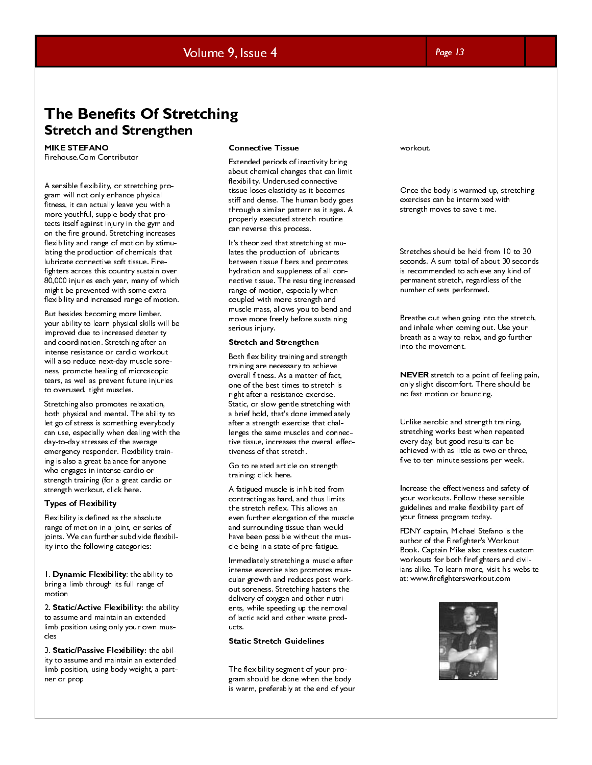### Volume 9, Issue 4 Page 13

### **The Benefits Of Stretching** Stretch and Strengthen

MIKE STEFANO Firehouse.Com Contributor

**Stretch and Strengthen**<br>
MIKE STEFANO<br>
Firstnows-Com Convibutor Correcting pro-<br>
Associals feedbalisty, or stretching pro-<br>
Associals feedbalisty, or stretching pro-<br>
argens at technical gridder production of the product A sensible flexibility, or stretching program will not only enhance physical fitness, it can actually leave you with a more youthful, supple body that protects itself against injury in the gym and on the fire ground. Stretching increases flexibility and range of motion by stimulating the production of chemicals that lubricate connective soft tissue. Firefighters across this country sustain over 80,000 injuries each year, many of which might be prevented with some extra flexibility and increased range of motion.

But besides becoming more limber, your ability to learn physical skills will be improved due to increased dexterity and coordination. Stretching after an intense resistance or cardio workout will also reduce next-day muscle soreness, promote healing of microscopic tears, as well as prevent future injuries to overused, tight muscles.

Stretching also promotes relaxation, both physical and mental. The ability to let go of stress is something everybody can use, especially when dealing with the day-to-day stresses of the average emergency responder. Flexibility training is also a great balance for anyone who engages in intense cardio or strength training (for a great cardio or strength workout, click here.

### Types of Flexibility

Flexibility is defined as the absolute range of motion in a joint, or series of joints. We can further subdivide flexibility into the following categories:

1. Dynamic Flexibility: the ability to bring a limb through its full range of motion

2. Static/Active Flexibility: the ability to assume and maintain an extended limb position using only your own muscles

3. Static/Passive Flexibility: the ability to assume and maintain an extended limb position, using body weight, a partner or prop

### Connective Tissue

Extended periods of inactivity bring about chemical changes that can limit flexibility. Underused connective tissue loses elasticity as it becomes stiff and dense. The human body goes through a similar pattern as it ages. A properly executed stretch routine can reverse this process.

It's theorized that stretching stimulates the production of lubricants between tissue fibers and promotes hydration and suppleness of all connective tissue. The resulting increased range of motion, especially when coupled with more strength and muscle mass, allows you to bend and move more freely before sustaining serious injury.

### Stretch and Strengthen

Both flexibility training and strength training are necessary to achieve overall fitness. As a matter of fact, one of the best times to stretch is right after a resistance exercise. Static, or slow gentle stretching with a brief hold, that's done immediately after a strength exercise that challenges the same muscles and connective tissue, increases the overall effectiveness of that stretch.

Go to related article on strength training: click here.

A fatigued muscle is inhibited from contracting as hard, and thus limits the stretch reflex. This allows an even further elongation of the muscle and surrounding tissue than would have been possible without the muscle being in a state of pre-fatigue.

Immediately stretching a muscle after intense exercise also promotes muscular growth and reduces post workout soreness. Stretching hastens the delivery of oxygen and other nutrients, while speeding up the removal of lactic acid and other waste products.

### Static Stretch Guidelines

The flexibility segment of your program should be done when the body is warm, preferably at the end of your workout.

Once the body is warmed up, stretching exercises can be intermixed with strength moves to save time.

Stretches should be held from 10 to 30 seconds. A sum total of about 30 seconds is recommended to achieve any kind of permanent stretch, regardless of the number of sets performed.

Breathe out when going into the stretch, and inhale when coming out. Use your breath as a way to relax, and go further into the movement.

NEVER stretch to a point of feeling pain, only slight discomfort. There should be no fast motion or bouncing.

Unlike aerobic and strength training, stretching works best when repeated every day, but good results can be achieved with as little as two or three, five to ten minute sessions per week.

Increase the effectiveness and safety of your workouts. Follow these sensible guidelines and make flexibility part of your fitness program today.

FDNY captain, Michael Stefano is the author of the Firefighter's Workout Book. Captain Mike also creates custom workouts for both firefighters and civilians alike. To learn more, visit his website at: www.firefightersworkout.com